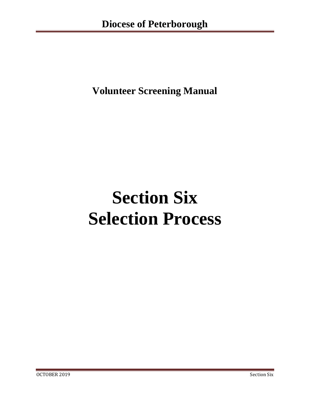**Volunteer Screening Manual**

# **Section Six Selection Process**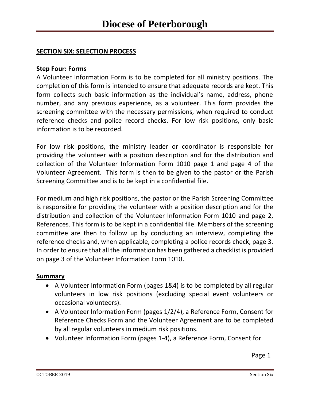# **SECTION SIX: SELECTION PROCESS**

#### **Step Four: Forms**

A Volunteer Information Form is to be completed for all ministry positions. The completion of this form is intended to ensure that adequate records are kept. This form collects such basic information as the individual's name, address, phone number, and any previous experience, as a volunteer. This form provides the screening committee with the necessary permissions, when required to conduct reference checks and police record checks. For low risk positions, only basic information is to be recorded.

For low risk positions, the ministry leader or coordinator is responsible for providing the volunteer with a position description and for the distribution and collection of the Volunteer Information Form 1010 page 1 and page 4 of the Volunteer Agreement. This form is then to be given to the pastor or the Parish Screening Committee and is to be kept in a confidential file.

For medium and high risk positions, the pastor or the Parish Screening Committee is responsible for providing the volunteer with a position description and for the distribution and collection of the Volunteer Information Form 1010 and page 2, References. This form is to be kept in a confidential file. Members of the screening committee are then to follow up by conducting an interview, completing the reference checks and, when applicable, completing a police records check, page 3. In order to ensure that all the information has been gathered a checklist is provided on page 3 of the Volunteer Information Form 1010.

## **Summary**

- A Volunteer Information Form (pages 1&4) is to be completed by all regular volunteers in low risk positions (excluding special event volunteers or occasional volunteers).
- A Volunteer Information Form (pages 1/2/4), a Reference Form, Consent for Reference Checks Form and the Volunteer Agreement are to be completed by all regular volunteers in medium risk positions.
- Volunteer Information Form (pages 1-4), a Reference Form, Consent for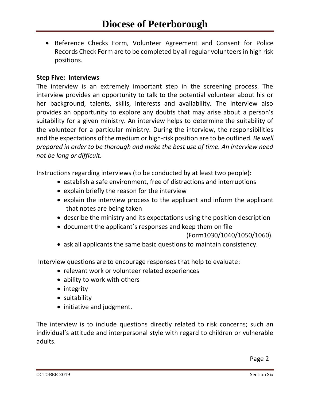• Reference Checks Form, Volunteer Agreement and Consent for Police Records Check Form are to be completed by all regular volunteers in high risk positions.

## **Step Five: Interviews**

The interview is an extremely important step in the screening process. The interview provides an opportunity to talk to the potential volunteer about his or her background, talents, skills, interests and availability. The interview also provides an opportunity to explore any doubts that may arise about a person's suitability for a given ministry. An interview helps to determine the suitability of the volunteer for a particular ministry. During the interview, the responsibilities and the expectations of the medium or high-risk position are to be outlined. *Be well prepared in order to be thorough and make the best use of time. An interview need not be long or difficult.*

Instructions regarding interviews (to be conducted by at least two people):

- establish a safe environment, free of distractions and interruptions
- explain briefly the reason for the interview
- explain the interview process to the applicant and inform the applicant that notes are being taken
- describe the ministry and its expectations using the position description
- document the applicant's responses and keep them on file

```
(Form1030/1040/1050/1060).
```
• ask all applicants the same basic questions to maintain consistency.

Interview questions are to encourage responses that help to evaluate:

- relevant work or volunteer related experiences
- ability to work with others
- integrity
- suitability
- initiative and judgment.

The interview is to include questions directly related to risk concerns; such an individual's attitude and interpersonal style with regard to children or vulnerable adults.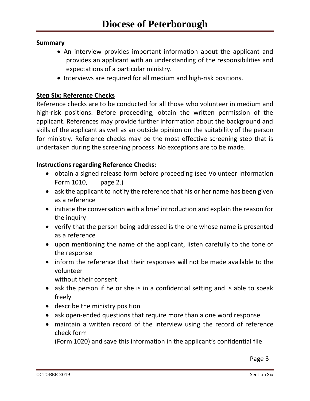# **Summary**

- An interview provides important information about the applicant and provides an applicant with an understanding of the responsibilities and expectations of a particular ministry.
- Interviews are required for all medium and high-risk positions.

# **Step Six: Reference Checks**

Reference checks are to be conducted for all those who volunteer in medium and high-risk positions. Before proceeding, obtain the written permission of the applicant. References may provide further information about the background and skills of the applicant as well as an outside opinion on the suitability of the person for ministry. Reference checks may be the most effective screening step that is undertaken during the screening process. No exceptions are to be made.

# **Instructions regarding Reference Checks:**

- obtain a signed release form before proceeding (see Volunteer Information Form 1010, page 2.)
- ask the applicant to notify the reference that his or her name has been given as a reference
- initiate the conversation with a brief introduction and explain the reason for the inquiry
- verify that the person being addressed is the one whose name is presented as a reference
- upon mentioning the name of the applicant, listen carefully to the tone of the response
- inform the reference that their responses will not be made available to the volunteer

without their consent

- ask the person if he or she is in a confidential setting and is able to speak freely
- describe the ministry position
- ask open-ended questions that require more than a one word response
- maintain a written record of the interview using the record of reference check form

(Form 1020) and save this information in the applicant's confidential file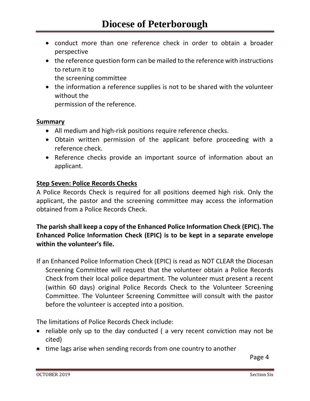- conduct more than one reference check in order to obtain a broader perspective
- the reference question form can be mailed to the reference with instructions to return it to the screening committee
- the information a reference supplies is not to be shared with the volunteer without the

permission of the reference.

## **Summary**

- All medium and high-risk positions require reference checks.
- Obtain written permission of the applicant before proceeding with a reference check.
- Reference checks provide an important source of information about an applicant.

## **Step Seven: Police Records Checks**

A Police Records Check is required for all positions deemed high risk. Only the applicant, the pastor and the screening committee may access the information obtained from a Police Records Check.

# **The parish shall keep a copy of the Enhanced Police Information Check (EPIC). The Enhanced Police Information Check (EPIC) is to be kept in a separate envelope within the volunteer's file.**

If an Enhanced Police Information Check (EPIC) is read as NOT CLEAR the Diocesan Screening Committee will request that the volunteer obtain a Police Records Check from their local police department. The volunteer must present a recent (within 60 days) original Police Records Check to the Volunteer Screening Committee. The Volunteer Screening Committee will consult with the pastor before the volunteer is accepted into a position.

The limitations of Police Records Check include:

- reliable only up to the day conducted (a very recent conviction may not be cited)
- time lags arise when sending records from one country to another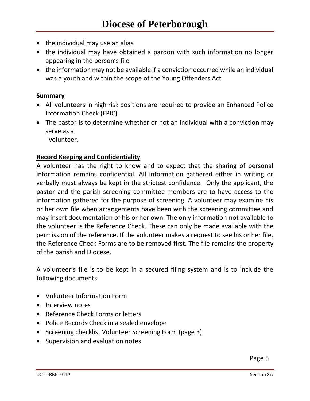- the individual may use an alias
- the individual may have obtained a pardon with such information no longer appearing in the person's file
- the information may not be available if a conviction occurred while an individual was a youth and within the scope of the Young Offenders Act

## **Summary**

- All volunteers in high risk positions are required to provide an Enhanced Police Information Check (EPIC).
- The pastor is to determine whether or not an individual with a conviction may serve as a

volunteer.

# **Record Keeping and Confidentiality**

A volunteer has the right to know and to expect that the sharing of personal information remains confidential. All information gathered either in writing or verbally must always be kept in the strictest confidence. Only the applicant, the pastor and the parish screening committee members are to have access to the information gathered for the purpose of screening. A volunteer may examine his or her own file when arrangements have been with the screening committee and may insert documentation of his or her own. The only information not available to the volunteer is the Reference Check. These can only be made available with the permission of the reference. If the volunteer makes a request to see his or her file, the Reference Check Forms are to be removed first. The file remains the property of the parish and Diocese.

A volunteer's file is to be kept in a secured filing system and is to include the following documents:

- Volunteer Information Form
- Interview notes
- Reference Check Forms or letters
- Police Records Check in a sealed envelope
- Screening checklist Volunteer Screening Form (page 3)
- Supervision and evaluation notes

**Page 5** Page 5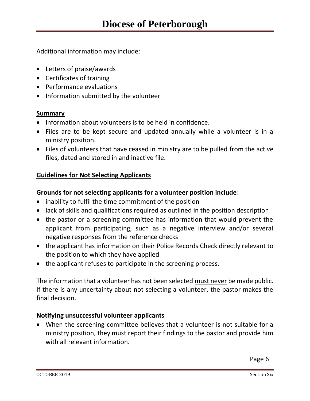Additional information may include:

- Letters of praise/awards
- Certificates of training
- Performance evaluations
- Information submitted by the volunteer

# **Summary**

- Information about volunteers is to be held in confidence.
- Files are to be kept secure and updated annually while a volunteer is in a ministry position.
- Files of volunteers that have ceased in ministry are to be pulled from the active files, dated and stored in and inactive file.

# **Guidelines for Not Selecting Applicants**

# **Grounds for not selecting applicants for a volunteer position include**:

- inability to fulfil the time commitment of the position
- lack of skills and qualifications required as outlined in the position description
- the pastor or a screening committee has information that would prevent the applicant from participating, such as a negative interview and/or several negative responses from the reference checks
- the applicant has information on their Police Records Check directly relevant to the position to which they have applied
- the applicant refuses to participate in the screening process.

The information that a volunteer has not been selected must never be made public. If there is any uncertainty about not selecting a volunteer, the pastor makes the final decision.

# **Notifying unsuccessful volunteer applicants**

• When the screening committee believes that a volunteer is not suitable for a ministry position, they must report their findings to the pastor and provide him with all relevant information.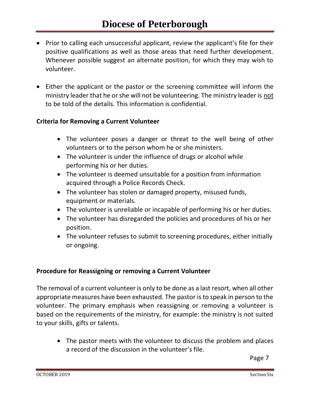- Prior to calling each unsuccessful applicant, review the applicant's file for their positive qualifications as well as those areas that need further development. Whenever possible suggest an alternate position, for which they may wish to volunteer.
- Either the applicant or the pastor or the screening committee will inform the ministry leader that he or she will not be volunteering. The ministry leader is not to be told of the details. This information is confidential.

## **Criteria for Removing a Current Volunteer**

- The volunteer poses a danger or threat to the well being of other volunteers or to the person whom he or she ministers.
- The volunteer is under the influence of drugs or alcohol while performing his or her duties.
- The volunteer is deemed unsuitable for a position from information acquired through a Police Records Check.
- The volunteer has stolen or damaged property, misused funds, equipment or materials.
- The volunteer is unreliable or incapable of performing his or her duties.
- The volunteer has disregarded the policies and procedures of his or her position.
- The volunteer refuses to submit to screening procedures, either initially or ongoing.

## **Procedure for Reassigning or removing a Current Volunteer**

The removal of a current volunteer is only to be done as a last resort, when all other appropriate measures have been exhausted. The pastor is to speak in person to the volunteer. The primary emphasis when reassigning or removing a volunteer is based on the requirements of the ministry, for example: the ministry is not suited to your skills, gifts or talents.

• The pastor meets with the volunteer to discuss the problem and places a record of the discussion in the volunteer's file.